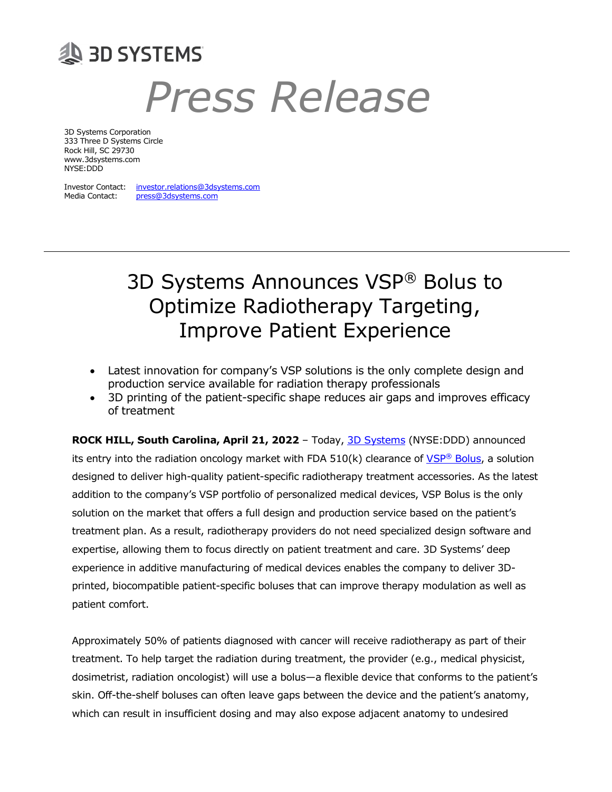

# Press Release

3D Systems Corporation 333 Three D Systems Circle Rock Hill, SC 29730 www.3dsystems.com NYSE:DDD

Investor Contact: investor.relations@3dsystems.com Media Contact: press@3dsystems.com

# 3D Systems Announces VSP® Bolus to Optimize Radiotherapy Targeting, Improve Patient Experience

- Latest innovation for company's VSP solutions is the only complete design and production service available for radiation therapy professionals
- 3D printing of the patient-specific shape reduces air gaps and improves efficacy of treatment

ROCK HILL, South Carolina, April 21, 2022 - Today, 3D Systems (NYSE:DDD) announced its entry into the radiation oncology market with FDA  $510(k)$  clearance of VSP® Bolus, a solution designed to deliver high-quality patient-specific radiotherapy treatment accessories. As the latest addition to the company's VSP portfolio of personalized medical devices, VSP Bolus is the only solution on the market that offers a full design and production service based on the patient's treatment plan. As a result, radiotherapy providers do not need specialized design software and expertise, allowing them to focus directly on patient treatment and care. 3D Systems' deep experience in additive manufacturing of medical devices enables the company to deliver 3Dprinted, biocompatible patient-specific boluses that can improve therapy modulation as well as patient comfort.

Approximately 50% of patients diagnosed with cancer will receive radiotherapy as part of their treatment. To help target the radiation during treatment, the provider (e.g., medical physicist, dosimetrist, radiation oncologist) will use a bolus—a flexible device that conforms to the patient's skin. Off-the-shelf boluses can often leave gaps between the device and the patient's anatomy, which can result in insufficient dosing and may also expose adjacent anatomy to undesired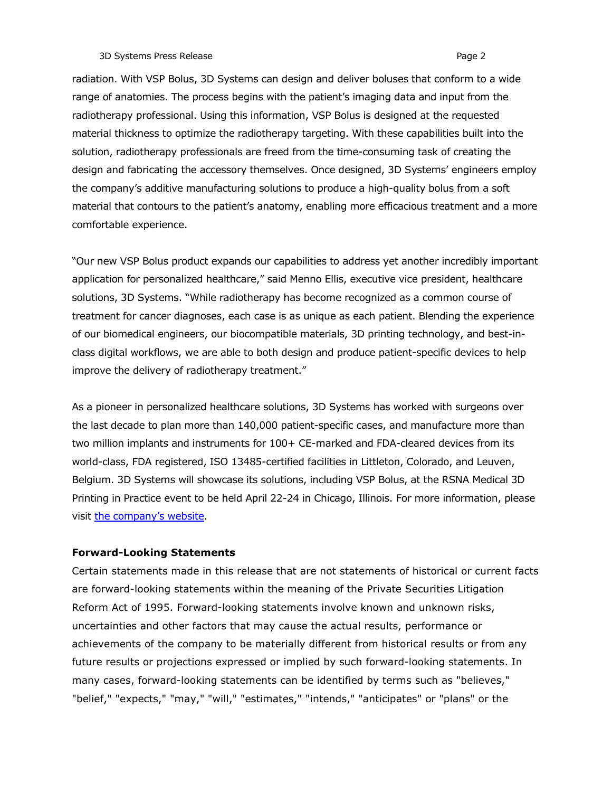radiation. With VSP Bolus, 3D Systems can design and deliver boluses that conform to a wide range of anatomies. The process begins with the patient's imaging data and input from the radiotherapy professional. Using this information, VSP Bolus is designed at the requested material thickness to optimize the radiotherapy targeting. With these capabilities built into the solution, radiotherapy professionals are freed from the time-consuming task of creating the design and fabricating the accessory themselves. Once designed, 3D Systems' engineers employ the company's additive manufacturing solutions to produce a high-quality bolus from a soft material that contours to the patient's anatomy, enabling more efficacious treatment and a more comfortable experience.

"Our new VSP Bolus product expands our capabilities to address yet another incredibly important application for personalized healthcare," said Menno Ellis, executive vice president, healthcare solutions, 3D Systems. "While radiotherapy has become recognized as a common course of treatment for cancer diagnoses, each case is as unique as each patient. Blending the experience of our biomedical engineers, our biocompatible materials, 3D printing technology, and best-inclass digital workflows, we are able to both design and produce patient-specific devices to help improve the delivery of radiotherapy treatment."

As a pioneer in personalized healthcare solutions, 3D Systems has worked with surgeons over the last decade to plan more than 140,000 patient-specific cases, and manufacture more than two million implants and instruments for 100+ CE-marked and FDA-cleared devices from its world-class, FDA registered, ISO 13485-certified facilities in Littleton, Colorado, and Leuven, Belgium. 3D Systems will showcase its solutions, including VSP Bolus, at the RSNA Medical 3D Printing in Practice event to be held April 22-24 in Chicago, Illinois. For more information, please visit the company's website.

## Forward-Looking Statements

Certain statements made in this release that are not statements of historical or current facts are forward-looking statements within the meaning of the Private Securities Litigation Reform Act of 1995. Forward-looking statements involve known and unknown risks, uncertainties and other factors that may cause the actual results, performance or achievements of the company to be materially different from historical results or from any future results or projections expressed or implied by such forward-looking statements. In many cases, forward-looking statements can be identified by terms such as "believes," "belief," "expects," "may," "will," "estimates," "intends," "anticipates" or "plans" or the